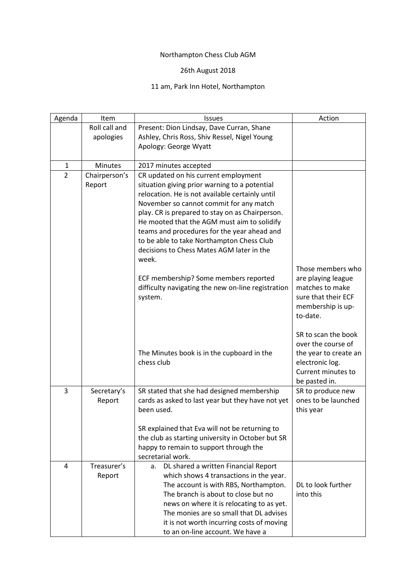## Northampton Chess Club AGM

## 26th August 2018

## 11 am, Park Inn Hotel, Northampton

| Agenda         | Item                    | <b>Issues</b>                                                                                                                                                                                                                                                                                                                                  | Action                                                                                                                       |
|----------------|-------------------------|------------------------------------------------------------------------------------------------------------------------------------------------------------------------------------------------------------------------------------------------------------------------------------------------------------------------------------------------|------------------------------------------------------------------------------------------------------------------------------|
|                | Roll call and           | Present: Dion Lindsay, Dave Curran, Shane                                                                                                                                                                                                                                                                                                      |                                                                                                                              |
|                | apologies               | Ashley, Chris Ross, Shiv Ressel, Nigel Young                                                                                                                                                                                                                                                                                                   |                                                                                                                              |
|                |                         | Apology: George Wyatt                                                                                                                                                                                                                                                                                                                          |                                                                                                                              |
|                |                         |                                                                                                                                                                                                                                                                                                                                                |                                                                                                                              |
| $\mathbf{1}$   | <b>Minutes</b>          | 2017 minutes accepted                                                                                                                                                                                                                                                                                                                          |                                                                                                                              |
| $\overline{2}$ | Chairperson's<br>Report | CR updated on his current employment<br>situation giving prior warning to a potential<br>relocation. He is not available certainly until<br>November so cannot commit for any match<br>play. CR is prepared to stay on as Chairperson.                                                                                                         |                                                                                                                              |
|                |                         | He mooted that the AGM must aim to solidify<br>teams and procedures for the year ahead and<br>to be able to take Northampton Chess Club<br>decisions to Chess Mates AGM later in the<br>week.                                                                                                                                                  |                                                                                                                              |
|                |                         | ECF membership? Some members reported<br>difficulty navigating the new on-line registration<br>system.                                                                                                                                                                                                                                         | Those members who<br>are playing league<br>matches to make<br>sure that their ECF<br>membership is up-<br>to-date.           |
|                |                         | The Minutes book is in the cupboard in the<br>chess club                                                                                                                                                                                                                                                                                       | SR to scan the book<br>over the course of<br>the year to create an<br>electronic log.<br>Current minutes to<br>be pasted in. |
| 3              | Secretary's<br>Report   | SR stated that she had designed membership<br>cards as asked to last year but they have not yet<br>been used.                                                                                                                                                                                                                                  | SR to produce new<br>ones to be launched<br>this year                                                                        |
|                |                         | SR explained that Eva will not be returning to<br>the club as starting university in October but SR<br>happy to remain to support through the<br>secretarial work.                                                                                                                                                                             |                                                                                                                              |
| 4              | Treasurer's<br>Report   | DL shared a written Financial Report<br>a.<br>which shows 4 transactions in the year.<br>The account is with RBS, Northampton.<br>The branch is about to close but no<br>news on where it is relocating to as yet.<br>The monies are so small that DL advises<br>it is not worth incurring costs of moving<br>to an on-line account. We have a | DL to look further<br>into this                                                                                              |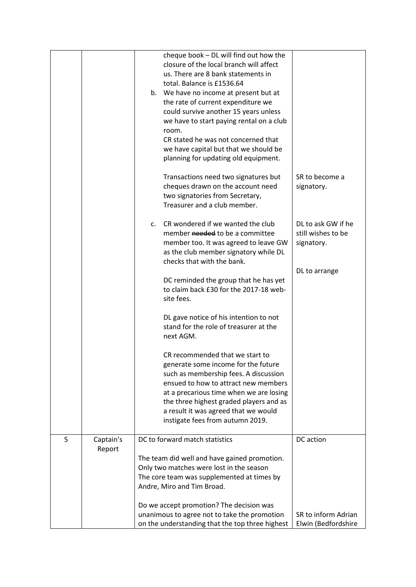|   |                     |    | cheque book - DL will find out how the<br>closure of the local branch will affect<br>us. There are 8 bank statements in<br>total. Balance is £1536.64<br>b. We have no income at present but at<br>the rate of current expenditure we<br>could survive another 15 years unless<br>we have to start paying rental on a club<br>room.<br>CR stated he was not concerned that<br>we have capital but that we should be<br>planning for updating old equipment. |                                                        |
|---|---------------------|----|-------------------------------------------------------------------------------------------------------------------------------------------------------------------------------------------------------------------------------------------------------------------------------------------------------------------------------------------------------------------------------------------------------------------------------------------------------------|--------------------------------------------------------|
|   |                     |    | Transactions need two signatures but<br>cheques drawn on the account need<br>two signatories from Secretary,<br>Treasurer and a club member.                                                                                                                                                                                                                                                                                                                | SR to become a<br>signatory.                           |
|   |                     | C. | CR wondered if we wanted the club<br>member needed to be a committee<br>member too. It was agreed to leave GW<br>as the club member signatory while DL<br>checks that with the bank.                                                                                                                                                                                                                                                                        | DL to ask GW if he<br>still wishes to be<br>signatory. |
|   |                     |    | DC reminded the group that he has yet<br>to claim back £30 for the 2017-18 web-<br>site fees.                                                                                                                                                                                                                                                                                                                                                               | DL to arrange                                          |
|   |                     |    | DL gave notice of his intention to not<br>stand for the role of treasurer at the<br>next AGM.                                                                                                                                                                                                                                                                                                                                                               |                                                        |
|   |                     |    | CR recommended that we start to<br>generate some income for the future<br>such as membership fees. A discussion<br>ensued to how to attract new members<br>at a precarious time when we are losing<br>the three highest graded players and as<br>a result it was agreed that we would<br>instigate fees from autumn 2019.                                                                                                                                   |                                                        |
| 5 | Captain's<br>Report |    | DC to forward match statistics                                                                                                                                                                                                                                                                                                                                                                                                                              | DC action                                              |
|   |                     |    | The team did well and have gained promotion.<br>Only two matches were lost in the season<br>The core team was supplemented at times by<br>Andre, Miro and Tim Broad.                                                                                                                                                                                                                                                                                        |                                                        |
|   |                     |    | Do we accept promotion? The decision was<br>unanimous to agree not to take the promotion<br>on the understanding that the top three highest                                                                                                                                                                                                                                                                                                                 | SR to inform Adrian<br>Elwin (Bedfordshire             |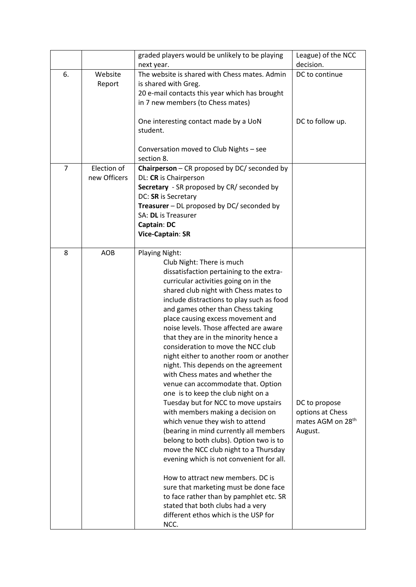|                |                   | graded players would be unlikely to be playing                                                                                                                                                                                                                                                                                                                                                                                                                                                                                                                                                                                                                                                                                                                                                                                                                                                                                                                                                                                                                                              | League) of the NCC                                                            |
|----------------|-------------------|---------------------------------------------------------------------------------------------------------------------------------------------------------------------------------------------------------------------------------------------------------------------------------------------------------------------------------------------------------------------------------------------------------------------------------------------------------------------------------------------------------------------------------------------------------------------------------------------------------------------------------------------------------------------------------------------------------------------------------------------------------------------------------------------------------------------------------------------------------------------------------------------------------------------------------------------------------------------------------------------------------------------------------------------------------------------------------------------|-------------------------------------------------------------------------------|
|                |                   | next year.                                                                                                                                                                                                                                                                                                                                                                                                                                                                                                                                                                                                                                                                                                                                                                                                                                                                                                                                                                                                                                                                                  | decision.                                                                     |
| 6.             | Website<br>Report | The website is shared with Chess mates. Admin<br>is shared with Greg.<br>20 e-mail contacts this year which has brought<br>in 7 new members (to Chess mates)                                                                                                                                                                                                                                                                                                                                                                                                                                                                                                                                                                                                                                                                                                                                                                                                                                                                                                                                | DC to continue                                                                |
|                |                   | One interesting contact made by a UoN<br>student.<br>Conversation moved to Club Nights - see<br>section 8.                                                                                                                                                                                                                                                                                                                                                                                                                                                                                                                                                                                                                                                                                                                                                                                                                                                                                                                                                                                  | DC to follow up.                                                              |
| $\overline{7}$ | Election of       | Chairperson - CR proposed by DC/ seconded by                                                                                                                                                                                                                                                                                                                                                                                                                                                                                                                                                                                                                                                                                                                                                                                                                                                                                                                                                                                                                                                |                                                                               |
|                | new Officers      | DL: CR is Chairperson                                                                                                                                                                                                                                                                                                                                                                                                                                                                                                                                                                                                                                                                                                                                                                                                                                                                                                                                                                                                                                                                       |                                                                               |
|                |                   | Secretary - SR proposed by CR/ seconded by                                                                                                                                                                                                                                                                                                                                                                                                                                                                                                                                                                                                                                                                                                                                                                                                                                                                                                                                                                                                                                                  |                                                                               |
|                |                   | DC: SR is Secretary                                                                                                                                                                                                                                                                                                                                                                                                                                                                                                                                                                                                                                                                                                                                                                                                                                                                                                                                                                                                                                                                         |                                                                               |
|                |                   | Treasurer - DL proposed by DC/ seconded by                                                                                                                                                                                                                                                                                                                                                                                                                                                                                                                                                                                                                                                                                                                                                                                                                                                                                                                                                                                                                                                  |                                                                               |
|                |                   | SA: DL is Treasurer                                                                                                                                                                                                                                                                                                                                                                                                                                                                                                                                                                                                                                                                                                                                                                                                                                                                                                                                                                                                                                                                         |                                                                               |
|                |                   | Captain: DC                                                                                                                                                                                                                                                                                                                                                                                                                                                                                                                                                                                                                                                                                                                                                                                                                                                                                                                                                                                                                                                                                 |                                                                               |
|                |                   | Vice-Captain: SR                                                                                                                                                                                                                                                                                                                                                                                                                                                                                                                                                                                                                                                                                                                                                                                                                                                                                                                                                                                                                                                                            |                                                                               |
| 8              | <b>AOB</b>        | <b>Playing Night:</b><br>Club Night: There is much<br>dissatisfaction pertaining to the extra-<br>curricular activities going on in the<br>shared club night with Chess mates to<br>include distractions to play such as food<br>and games other than Chess taking<br>place causing excess movement and<br>noise levels. Those affected are aware<br>that they are in the minority hence a<br>consideration to move the NCC club<br>night either to another room or another<br>night. This depends on the agreement<br>with Chess mates and whether the<br>venue can accommodate that. Option<br>one is to keep the club night on a<br>Tuesday but for NCC to move upstairs<br>with members making a decision on<br>which venue they wish to attend<br>(bearing in mind currently all members<br>belong to both clubs). Option two is to<br>move the NCC club night to a Thursday<br>evening which is not convenient for all.<br>How to attract new members. DC is<br>sure that marketing must be done face<br>to face rather than by pamphlet etc. SR<br>stated that both clubs had a very | DC to propose<br>options at Chess<br>mates AGM on 28 <sup>th</sup><br>August. |